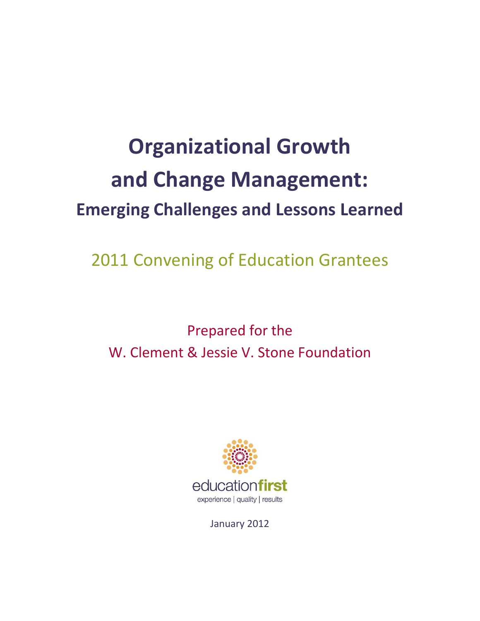# **Organizational Growth and Change Management: Emerging Challenges and Lessons Learned**

2011 Convening of Education Grantees

# Prepared for the W. Clement & Jessie V. Stone Foundation



January 2012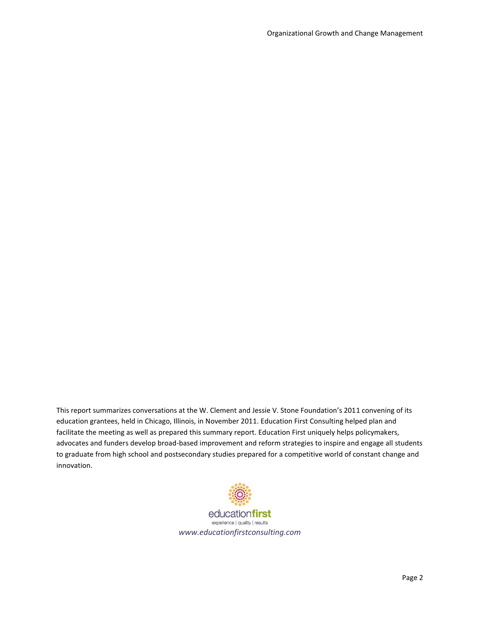This report summarizes conversations at the W. Clement and Jessie V. Stone Foundation's 2011 convening of its education grantees, held in Chicago, Illinois, in November 2011. Education First Consulting helped plan and facilitate the meeting as well as prepared this summary report. Education First uniquely helps policymakers, advocates and funders develop broad-based improvement and reform strategies to inspire and engage all students to graduate from high school and postsecondary studies prepared for a competitive world of constant change and innovation.



educationfirst experience | quality | results *www.educationfirstconsulting.com*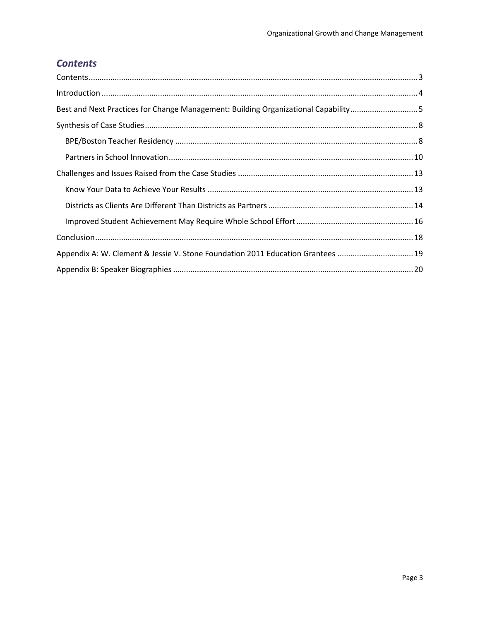# <span id="page-2-0"></span>**Contents**

| Best and Next Practices for Change Management: Building Organizational Capability5 |  |
|------------------------------------------------------------------------------------|--|
|                                                                                    |  |
|                                                                                    |  |
|                                                                                    |  |
|                                                                                    |  |
|                                                                                    |  |
|                                                                                    |  |
|                                                                                    |  |
|                                                                                    |  |
| Appendix A: W. Clement & Jessie V. Stone Foundation 2011 Education Grantees 19     |  |
|                                                                                    |  |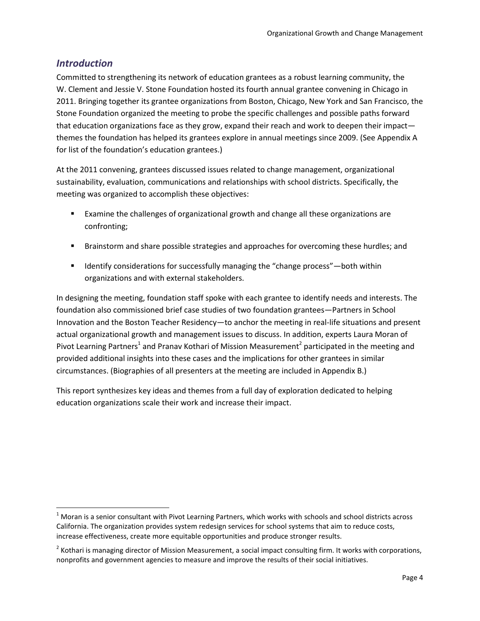# <span id="page-3-0"></span>*Introduction*

l

Committed to strengthening its network of education grantees as a robust learning community, the W. Clement and Jessie V. Stone Foundation hosted its fourth annual grantee convening in Chicago in 2011. Bringing together its grantee organizations from Boston, Chicago, New York and San Francisco, the Stone Foundation organized the meeting to probe the specific challenges and possible paths forward that education organizations face as they grow, expand their reach and work to deepen their impact themes the foundation has helped its grantees explore in annual meetings since 2009. (See Appendix A for list of the foundation's education grantees.)

At the 2011 convening, grantees discussed issues related to change management, organizational sustainability, evaluation, communications and relationships with school districts. Specifically, the meeting was organized to accomplish these objectives:

- **Examine the challenges of organizational growth and change all these organizations are** confronting;
- **Brainstorm and share possible strategies and approaches for overcoming these hurdles; and**
- **If Immark** Identify considerations for successfully managing the "change process"—both within organizations and with external stakeholders.

In designing the meeting, foundation staff spoke with each grantee to identify needs and interests. The foundation also commissioned brief case studies of two foundation grantees—Partners in School Innovation and the Boston Teacher Residency—to anchor the meeting in real-life situations and present actual organizational growth and management issues to discuss. In addition, experts Laura Moran of Pivot Learning Partners<sup>1</sup> and Pranav Kothari of Mission Measurement<sup>2</sup> participated in the meeting and provided additional insights into these cases and the implications for other grantees in similar circumstances. (Biographies of all presenters at the meeting are included in Appendix B.)

This report synthesizes key ideas and themes from a full day of exploration dedicated to helping education organizations scale their work and increase their impact.

 $1$  Moran is a senior consultant with Pivot Learning Partners, which works with schools and school districts across California. The organization provides system redesign services for school systems that aim to reduce costs, increase effectiveness, create more equitable opportunities and produce stronger results.

 $^2$  Kothari is managing director of Mission Measurement, a social impact consulting firm. It works with corporations, nonprofits and government agencies to measure and improve the results of their social initiatives.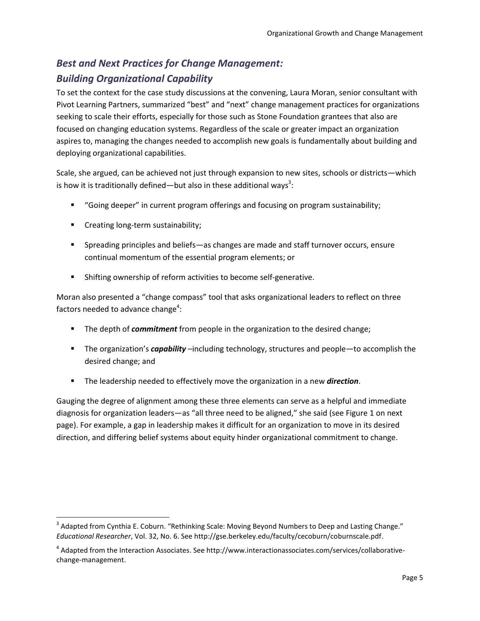# <span id="page-4-0"></span>*Best and Next Practices for Change Management: Building Organizational Capability*

To set the context for the case study discussions at the convening, Laura Moran, senior consultant with Pivot Learning Partners, summarized "best" and "next" change management practices for organizations seeking to scale their efforts, especially for those such as Stone Foundation grantees that also are focused on changing education systems. Regardless of the scale or greater impact an organization aspires to, managing the changes needed to accomplish new goals is fundamentally about building and deploying organizational capabilities.

Scale, she argued, can be achieved not just through expansion to new sites, schools or districts—which is how it is traditionally defined—but also in these additional ways<sup>3</sup>:

- "Going deeper" in current program offerings and focusing on program sustainability;
- **EXECT** Creating long-term sustainability;

 $\overline{a}$ 

- Spreading principles and beliefs—as changes are made and staff turnover occurs, ensure continual momentum of the essential program elements; or
- **Shifting ownership of reform activities to become self-generative.**

Moran also presented a "change compass" tool that asks organizational leaders to reflect on three factors needed to advance change<sup>4</sup>:

- **The depth of** *commitment* from people in the organization to the desired change;
- The organization's *capability* –including technology, structures and people—to accomplish the desired change; and
- The leadership needed to effectively move the organization in a new *direction*.

Gauging the degree of alignment among these three elements can serve as a helpful and immediate diagnosis for organization leaders—as "all three need to be aligned," she said (see Figure 1 on next page). For example, a gap in leadership makes it difficult for an organization to move in its desired direction, and differing belief systems about equity hinder organizational commitment to change.

 $3$  Adapted from Cynthia E. Coburn. "Rethinking Scale: Moving Beyond Numbers to Deep and Lasting Change." *Educational Researcher*, Vol. 32, No. 6. See http://gse.berkeley.edu/faculty/cecoburn/coburnscale.pdf.

<sup>&</sup>lt;sup>4</sup> Adapted from the Interaction Associates. See http://www.interactionassociates.com/services/collaborativechange-management.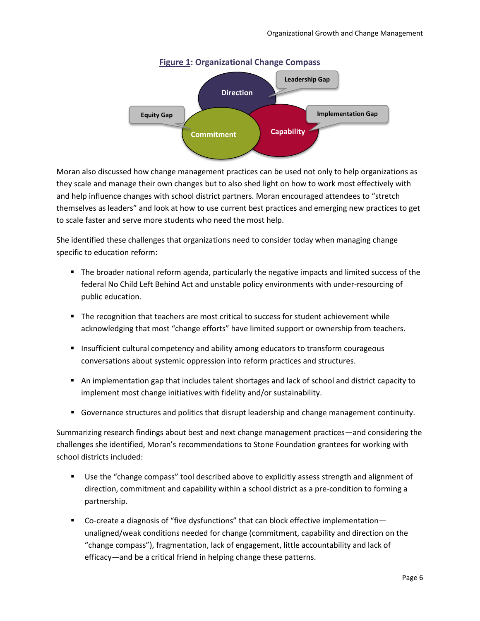

#### **Figure 1: Organizational Change Compass**

Moran also discussed how change management practices can be used not only to help organizations as they scale and manage their own changes but to also shed light on how to work most effectively with and help influence changes with school district partners. Moran encouraged attendees to "stretch themselves as leaders" and look at how to use current best practices and emerging new practices to get to scale faster and serve more students who need the most help.

She identified these challenges that organizations need to consider today when managing change specific to education reform:

- The broader national reform agenda, particularly the negative impacts and limited success of the federal No Child Left Behind Act and unstable policy environments with under-resourcing of public education.
- The recognition that teachers are most critical to success for student achievement while acknowledging that most "change efforts" have limited support or ownership from teachers.
- **Insufficient cultural competency and ability among educators to transform courageous** conversations about systemic oppression into reform practices and structures.
- An implementation gap that includes talent shortages and lack of school and district capacity to implement most change initiatives with fidelity and/or sustainability.
- Governance structures and politics that disrupt leadership and change management continuity.

Summarizing research findings about best and next change management practices—and considering the challenges she identified, Moran's recommendations to Stone Foundation grantees for working with school districts included:

- Use the "change compass" tool described above to explicitly assess strength and alignment of direction, commitment and capability within a school district as a pre-condition to forming a partnership.
- Co-create a diagnosis of "five dysfunctions" that can block effective implementation unaligned/weak conditions needed for change (commitment, capability and direction on the "change compass"), fragmentation, lack of engagement, little accountability and lack of efficacy—and be a critical friend in helping change these patterns.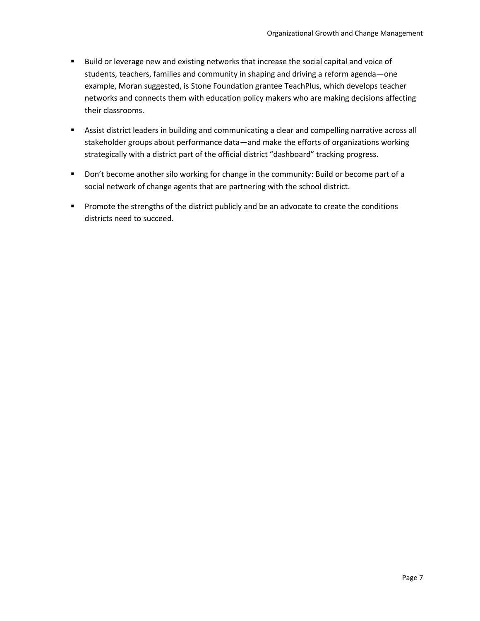- **Build or leverage new and existing networks that increase the social capital and voice of** students, teachers, families and community in shaping and driving a reform agenda—one example, Moran suggested, is Stone Foundation grantee TeachPlus, which develops teacher networks and connects them with education policy makers who are making decisions affecting their classrooms.
- Assist district leaders in building and communicating a clear and compelling narrative across all stakeholder groups about performance data—and make the efforts of organizations working strategically with a district part of the official district "dashboard" tracking progress.
- **Don't become another silo working for change in the community: Build or become part of a** social network of change agents that are partnering with the school district.
- **Promote the strengths of the district publicly and be an advocate to create the conditions** districts need to succeed.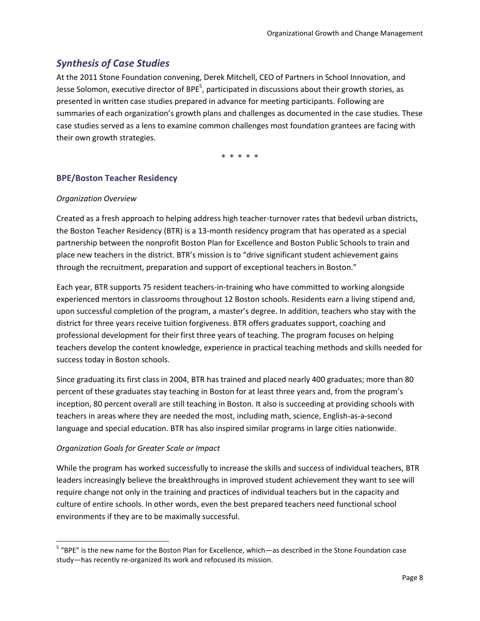# <span id="page-7-0"></span>*Synthesis of Case Studies*

At the 2011 Stone Foundation convening, Derek Mitchell, CEO of Partners in School Innovation, and Jesse Solomon, executive director of BPE<sup>5</sup>, participated in discussions about their growth stories, as presented in written case studies prepared in advance for meeting participants. Following are summaries of each organization's growth plans and challenges as documented in the case studies. These case studies served as a lens to examine common challenges most foundation grantees are facing with their own growth strategies.

**\* \* \* \* \***

# <span id="page-7-1"></span>**BPE/Boston Teacher Residency**

#### *Organization Overview*

Created as a fresh approach to helping address high teacher-turnover rates that bedevil urban districts, the Boston Teacher Residency (BTR) is a 13-month residency program that has operated as a special partnership between the nonprofit Boston Plan for Excellence and Boston Public Schools to train and place new teachers in the district. BTR's mission is to "drive significant student achievement gains through the recruitment, preparation and support of exceptional teachers in Boston."

Each year, BTR supports 75 resident teachers-in-training who have committed to working alongside experienced mentors in classrooms throughout 12 Boston schools. Residents earn a living stipend and, upon successful completion of the program, a master's degree. In addition, teachers who stay with the district for three years receive tuition forgiveness. BTR offers graduates support, coaching and professional development for their first three years of teaching. The program focuses on helping teachers develop the content knowledge, experience in practical teaching methods and skills needed for success today in Boston schools.

Since graduating its first class in 2004, BTR has trained and placed nearly 400 graduates; more than 80 percent of these graduates stay teaching in Boston for at least three years and, from the program's inception, 80 percent overall are still teaching in Boston. It also is succeeding at providing schools with teachers in areas where they are needed the most, including math, science, English-as-a-second language and special education. BTR has also inspired similar programs in large cities nationwide.

## *Organization Goals for Greater Scale or Impact*

l

While the program has worked successfully to increase the skills and success of individual teachers, BTR leaders increasingly believe the breakthroughs in improved student achievement they want to see will require change not only in the training and practices of individual teachers but in the capacity and culture of entire schools. In other words, even the best prepared teachers need functional school environments if they are to be maximally successful.

<sup>&</sup>lt;sup>5</sup> "BPE" is the new name for the Boston Plan for Excellence, which—as described in the Stone Foundation case study—has recently re-organized its work and refocused its mission.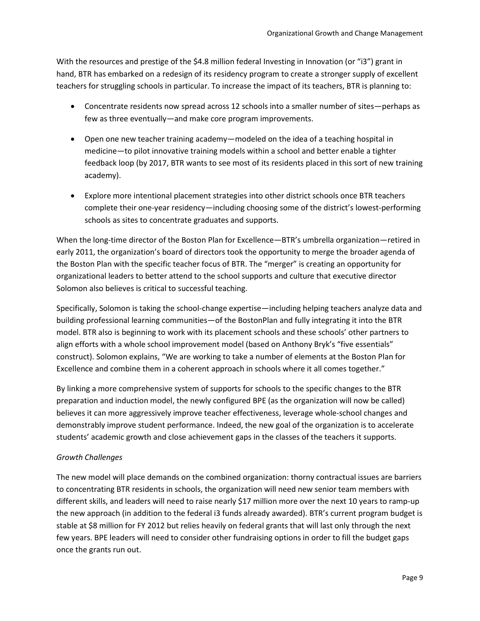With the resources and prestige of the \$4.8 million federal Investing in Innovation (or "i3") grant in hand, BTR has embarked on a redesign of its residency program to create a stronger supply of excellent teachers for struggling schools in particular. To increase the impact of its teachers, BTR is planning to:

- Concentrate residents now spread across 12 schools into a smaller number of sites—perhaps as few as three eventually—and make core program improvements.
- Open one new teacher training academy—modeled on the idea of a teaching hospital in medicine—to pilot innovative training models within a school and better enable a tighter feedback loop (by 2017, BTR wants to see most of its residents placed in this sort of new training academy).
- Explore more intentional placement strategies into other district schools once BTR teachers complete their one-year residency—including choosing some of the district's lowest-performing schools as sites to concentrate graduates and supports.

When the long-time director of the Boston Plan for Excellence—BTR's umbrella organization—retired in early 2011, the organization's board of directors took the opportunity to merge the broader agenda of the Boston Plan with the specific teacher focus of BTR. The "merger" is creating an opportunity for organizational leaders to better attend to the school supports and culture that executive director Solomon also believes is critical to successful teaching.

Specifically, Solomon is taking the school-change expertise—including helping teachers analyze data and building professional learning communities—of the BostonPlan and fully integrating it into the BTR model. BTR also is beginning to work with its placement schools and these schools' other partners to align efforts with a whole school improvement model (based on Anthony Bryk's "five essentials" construct). Solomon explains, "We are working to take a number of elements at the Boston Plan for Excellence and combine them in a coherent approach in schools where it all comes together."

By linking a more comprehensive system of supports for schools to the specific changes to the BTR preparation and induction model, the newly configured BPE (as the organization will now be called) believes it can more aggressively improve teacher effectiveness, leverage whole-school changes and demonstrably improve student performance. Indeed, the new goal of the organization is to accelerate students' academic growth and close achievement gaps in the classes of the teachers it supports.

# *Growth Challenges*

The new model will place demands on the combined organization: thorny contractual issues are barriers to concentrating BTR residents in schools, the organization will need new senior team members with different skills, and leaders will need to raise nearly \$17 million more over the next 10 years to ramp-up the new approach (in addition to the federal i3 funds already awarded). BTR's current program budget is stable at \$8 million for FY 2012 but relies heavily on federal grants that will last only through the next few years. BPE leaders will need to consider other fundraising options in order to fill the budget gaps once the grants run out.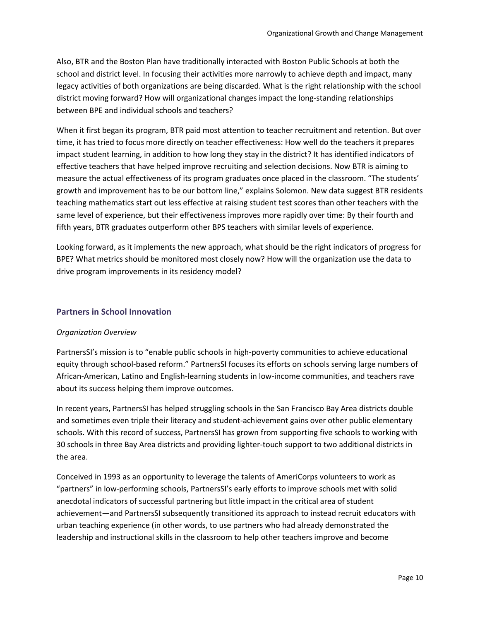Also, BTR and the Boston Plan have traditionally interacted with Boston Public Schools at both the school and district level. In focusing their activities more narrowly to achieve depth and impact, many legacy activities of both organizations are being discarded. What is the right relationship with the school district moving forward? How will organizational changes impact the long-standing relationships between BPE and individual schools and teachers?

When it first began its program, BTR paid most attention to teacher recruitment and retention. But over time, it has tried to focus more directly on teacher effectiveness: How well do the teachers it prepares impact student learning, in addition to how long they stay in the district? It has identified indicators of effective teachers that have helped improve recruiting and selection decisions. Now BTR is aiming to measure the actual effectiveness of its program graduates once placed in the classroom. "The students' growth and improvement has to be our bottom line," explains Solomon. New data suggest BTR residents teaching mathematics start out less effective at raising student test scores than other teachers with the same level of experience, but their effectiveness improves more rapidly over time: By their fourth and fifth years, BTR graduates outperform other BPS teachers with similar levels of experience.

Looking forward, as it implements the new approach, what should be the right indicators of progress for BPE? What metrics should be monitored most closely now? How will the organization use the data to drive program improvements in its residency model?

# <span id="page-9-0"></span>**Partners in School Innovation**

## *Organization Overview*

PartnersSI's mission is to "enable public schools in high-poverty communities to achieve educational equity through school-based reform." PartnersSI focuses its efforts on schools serving large numbers of African-American, Latino and English-learning students in low-income communities, and teachers rave about its success helping them improve outcomes.

In recent years, PartnersSI has helped struggling schools in the San Francisco Bay Area districts double and sometimes even triple their literacy and student-achievement gains over other public elementary schools. With this record of success, PartnersSI has grown from supporting five schools to working with 30 schools in three Bay Area districts and providing lighter-touch support to two additional districts in the area.

Conceived in 1993 as an opportunity to leverage the talents of AmeriCorps volunteers to work as "partners" in low-performing schools, PartnersSI's early efforts to improve schools met with solid anecdotal indicators of successful partnering but little impact in the critical area of student achievement—and PartnersSI subsequently transitioned its approach to instead recruit educators with urban teaching experience (in other words, to use partners who had already demonstrated the leadership and instructional skills in the classroom to help other teachers improve and become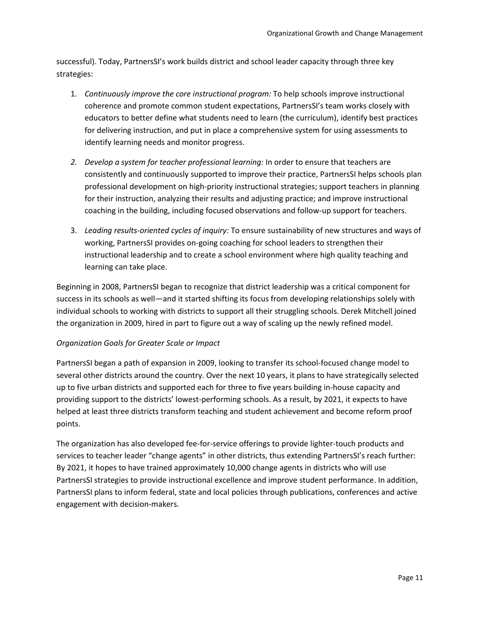successful). Today, PartnersSI's work builds district and school leader capacity through three key strategies:

- 1. *Continuously improve the core instructional program:* To help schools improve instructional coherence and promote common student expectations, PartnersSI's team works closely with educators to better define what students need to learn (the curriculum), identify best practices for delivering instruction, and put in place a comprehensive system for using assessments to identify learning needs and monitor progress.
- *2. Develop a system for teacher professional learning:* In order to ensure that teachers are consistently and continuously supported to improve their practice, PartnersSI helps schools plan professional development on high-priority instructional strategies; support teachers in planning for their instruction, analyzing their results and adjusting practice; and improve instructional coaching in the building, including focused observations and follow-up support for teachers.
- 3. *Leading results-oriented cycles of inquiry:* To ensure sustainability of new structures and ways of working, PartnersSI provides on-going coaching for school leaders to strengthen their instructional leadership and to create a school environment where high quality teaching and learning can take place.

Beginning in 2008, PartnersSI began to recognize that district leadership was a critical component for success in its schools as well—and it started shifting its focus from developing relationships solely with individual schools to working with districts to support all their struggling schools. Derek Mitchell joined the organization in 2009, hired in part to figure out a way of scaling up the newly refined model.

## *Organization Goals for Greater Scale or Impact*

PartnersSI began a path of expansion in 2009, looking to transfer its school-focused change model to several other districts around the country. Over the next 10 years, it plans to have strategically selected up to five urban districts and supported each for three to five years building in-house capacity and providing support to the districts' lowest-performing schools. As a result, by 2021, it expects to have helped at least three districts transform teaching and student achievement and become reform proof points.

The organization has also developed fee-for-service offerings to provide lighter-touch products and services to teacher leader "change agents" in other districts, thus extending PartnersSI's reach further: By 2021, it hopes to have trained approximately 10,000 change agents in districts who will use PartnersSI strategies to provide instructional excellence and improve student performance. In addition, PartnersSI plans to inform federal, state and local policies through publications, conferences and active engagement with decision-makers.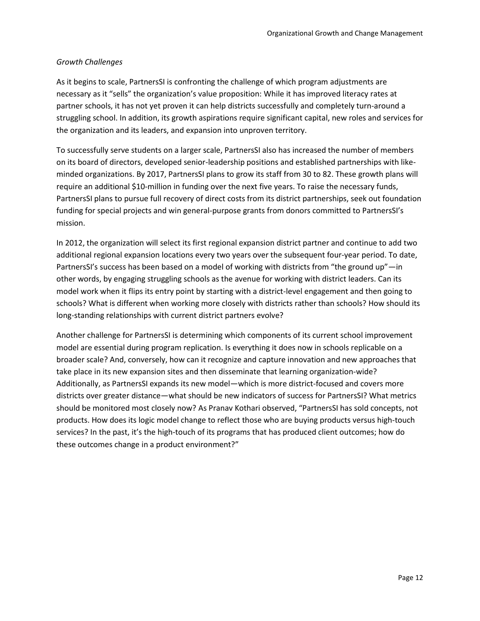# *Growth Challenges*

As it begins to scale, PartnersSI is confronting the challenge of which program adjustments are necessary as it "sells" the organization's value proposition: While it has improved literacy rates at partner schools, it has not yet proven it can help districts successfully and completely turn-around a struggling school. In addition, its growth aspirations require significant capital, new roles and services for the organization and its leaders, and expansion into unproven territory.

To successfully serve students on a larger scale, PartnersSI also has increased the number of members on its board of directors, developed senior-leadership positions and established partnerships with likeminded organizations. By 2017, PartnersSI plans to grow its staff from 30 to 82. These growth plans will require an additional \$10-million in funding over the next five years. To raise the necessary funds, PartnersSI plans to pursue full recovery of direct costs from its district partnerships, seek out foundation funding for special projects and win general-purpose grants from donors committed to PartnersSI's mission.

In 2012, the organization will select its first regional expansion district partner and continue to add two additional regional expansion locations every two years over the subsequent four-year period. To date, PartnersSI's success has been based on a model of working with districts from "the ground up"—in other words, by engaging struggling schools as the avenue for working with district leaders. Can its model work when it flips its entry point by starting with a district-level engagement and then going to schools? What is different when working more closely with districts rather than schools? How should its long-standing relationships with current district partners evolve?

Another challenge for PartnersSI is determining which components of its current school improvement model are essential during program replication. Is everything it does now in schools replicable on a broader scale? And, conversely, how can it recognize and capture innovation and new approaches that take place in its new expansion sites and then disseminate that learning organization-wide? Additionally, as PartnersSI expands its new model—which is more district-focused and covers more districts over greater distance—what should be new indicators of success for PartnersSI? What metrics should be monitored most closely now? As Pranav Kothari observed, "PartnersSI has sold concepts, not products. How does its logic model change to reflect those who are buying products versus high-touch services? In the past, it's the high-touch of its programs that has produced client outcomes; how do these outcomes change in a product environment?"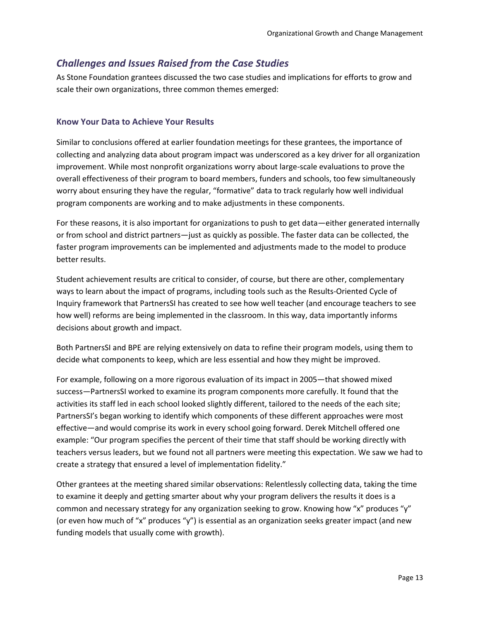# <span id="page-12-0"></span>*Challenges and Issues Raised from the Case Studies*

As Stone Foundation grantees discussed the two case studies and implications for efforts to grow and scale their own organizations, three common themes emerged:

# <span id="page-12-1"></span>**Know Your Data to Achieve Your Results**

Similar to conclusions offered at earlier foundation meetings for these grantees, the importance of collecting and analyzing data about program impact was underscored as a key driver for all organization improvement. While most nonprofit organizations worry about large-scale evaluations to prove the overall effectiveness of their program to board members, funders and schools, too few simultaneously worry about ensuring they have the regular, "formative" data to track regularly how well individual program components are working and to make adjustments in these components.

For these reasons, it is also important for organizations to push to get data—either generated internally or from school and district partners—just as quickly as possible. The faster data can be collected, the faster program improvements can be implemented and adjustments made to the model to produce better results.

Student achievement results are critical to consider, of course, but there are other, complementary ways to learn about the impact of programs, including tools such as the Results-Oriented Cycle of Inquiry framework that PartnersSI has created to see how well teacher (and encourage teachers to see how well) reforms are being implemented in the classroom. In this way, data importantly informs decisions about growth and impact.

Both PartnersSI and BPE are relying extensively on data to refine their program models, using them to decide what components to keep, which are less essential and how they might be improved.

For example, following on a more rigorous evaluation of its impact in 2005—that showed mixed success—PartnersSI worked to examine its program components more carefully. It found that the activities its staff led in each school looked slightly different, tailored to the needs of the each site; PartnersSI's began working to identify which components of these different approaches were most effective—and would comprise its work in every school going forward. Derek Mitchell offered one example: "Our program specifies the percent of their time that staff should be working directly with teachers versus leaders, but we found not all partners were meeting this expectation. We saw we had to create a strategy that ensured a level of implementation fidelity."

Other grantees at the meeting shared similar observations: Relentlessly collecting data, taking the time to examine it deeply and getting smarter about why your program delivers the results it does is a common and necessary strategy for any organization seeking to grow. Knowing how "x" produces "y" (or even how much of "x" produces "y") is essential as an organization seeks greater impact (and new funding models that usually come with growth).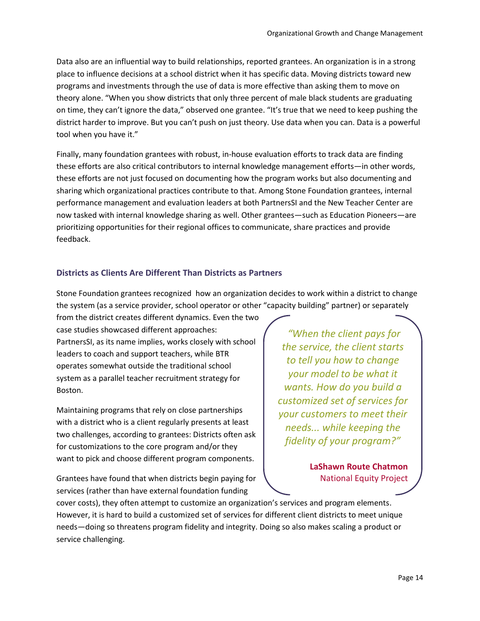Data also are an influential way to build relationships, reported grantees. An organization is in a strong place to influence decisions at a school district when it has specific data. Moving districts toward new programs and investments through the use of data is more effective than asking them to move on theory alone. "When you show districts that only three percent of male black students are graduating on time, they can't ignore the data," observed one grantee. "It's true that we need to keep pushing the district harder to improve. But you can't push on just theory. Use data when you can. Data is a powerful tool when you have it."

Finally, many foundation grantees with robust, in-house evaluation efforts to track data are finding these efforts are also critical contributors to internal knowledge management efforts—in other words, these efforts are not just focused on documenting how the program works but also documenting and sharing which organizational practices contribute to that. Among Stone Foundation grantees, internal performance management and evaluation leaders at both PartnersSI and the New Teacher Center are now tasked with internal knowledge sharing as well. Other grantees—such as Education Pioneers—are prioritizing opportunities for their regional offices to communicate, share practices and provide feedback.

# <span id="page-13-0"></span>**Districts as Clients Are Different Than Districts as Partners**

Stone Foundation grantees recognized how an organization decides to work within a district to change the system (as a service provider, school operator or other "capacity building" partner) or separately

from the district creates different dynamics. Even the two case studies showcased different approaches: PartnersSI, as its name implies, works closely with school leaders to coach and support teachers, while BTR operates somewhat outside the traditional school system as a parallel teacher recruitment strategy for Boston.

Maintaining programs that rely on close partnerships with a district who is a client regularly presents at least two challenges, according to grantees: Districts often ask for customizations to the core program and/or they want to pick and choose different program components.

Grantees have found that when districts begin paying for services (rather than have external foundation funding

*"When the client pays for the service, the client starts to tell you how to change your model to be what it wants. How do you build a customized set of services for your customers to meet their needs... while keeping the fidelity of your program?"*

> **LaShawn Route Chatmon** National Equity Project

cover costs), they often attempt to customize an organization's services and program elements. However, it is hard to build a customized set of services for different client districts to meet unique needs—doing so threatens program fidelity and integrity. Doing so also makes scaling a product or service challenging.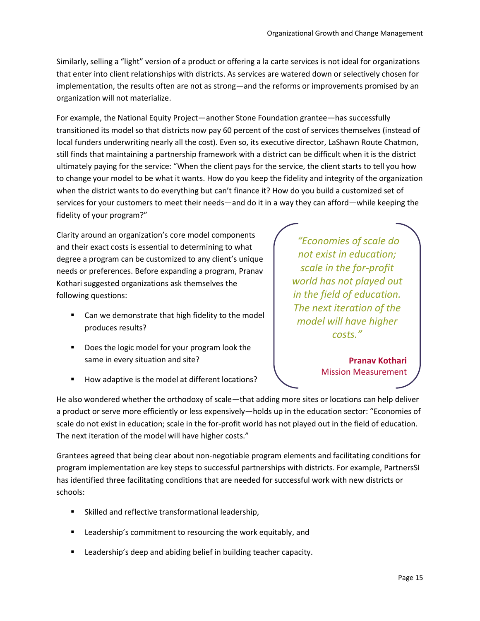Similarly, selling a "light" version of a product or offering a la carte services is not ideal for organizations that enter into client relationships with districts. As services are watered down or selectively chosen for implementation, the results often are not as strong—and the reforms or improvements promised by an organization will not materialize.

For example, the National Equity Project—another Stone Foundation grantee—has successfully transitioned its model so that districts now pay 60 percent of the cost of services themselves (instead of local funders underwriting nearly all the cost). Even so, its executive director, LaShawn Route Chatmon, still finds that maintaining a partnership framework with a district can be difficult when it is the district ultimately paying for the service: "When the client pays for the service, the client starts to tell you how to change your model to be what it wants. How do you keep the fidelity and integrity of the organization when the district wants to do everything but can't finance it? How do you build a customized set of services for your customers to meet their needs—and do it in a way they can afford—while keeping the fidelity of your program?"

Clarity around an organization's core model components and their exact costs is essential to determining to what degree a program can be customized to any client's unique needs or preferences. Before expanding a program, Pranav Kothari suggested organizations ask themselves the following questions:

- Can we demonstrate that high fidelity to the model produces results?
- Does the logic model for your program look the same in every situation and site?
- How adaptive is the model at different locations?

*"Economies of scale do not exist in education; scale in the for-profit world has not played out in the field of education. The next iteration of the model will have higher costs."*

> **Pranav Kothari** Mission Measurement

He also wondered whether the orthodoxy of scale—that adding more sites or locations can help deliver a product or serve more efficiently or less expensively—holds up in the education sector: "Economies of scale do not exist in education; scale in the for-profit world has not played out in the field of education. The next iteration of the model will have higher costs."

Grantees agreed that being clear about non-negotiable program elements and facilitating conditions for program implementation are key steps to successful partnerships with districts. For example, PartnersSI has identified three facilitating conditions that are needed for successful work with new districts or schools:

- Skilled and reflective transformational leadership,
- Leadership's commitment to resourcing the work equitably, and
- Leadership's deep and abiding belief in building teacher capacity.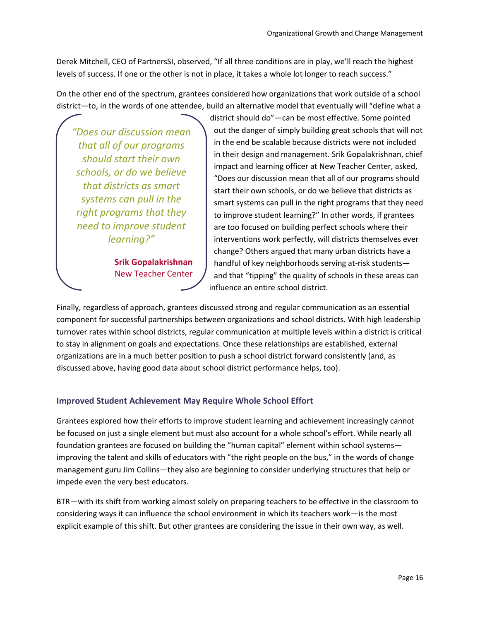Derek Mitchell, CEO of PartnersSI, observed, "If all three conditions are in play, we'll reach the highest levels of success. If one or the other is not in place, it takes a whole lot longer to reach success."

On the other end of the spectrum, grantees considered how organizations that work outside of a school district—to, in the words of one attendee, build an alternative model that eventually will "define what a

*"Does our discussion mean that all of our programs should start their own schools, or do we believe that districts as smart systems can pull in the right programs that they need to improve student learning?"*

> **Srik Gopalakrishnan**  New Teacher Center

district should do"—can be most effective. Some pointed out the danger of simply building great schools that will not in the end be scalable because districts were not included in their design and management. Srik Gopalakrishnan, chief impact and learning officer at New Teacher Center, asked, "Does our discussion mean that all of our programs should start their own schools, or do we believe that districts as smart systems can pull in the right programs that they need to improve student learning?" In other words, if grantees are too focused on building perfect schools where their interventions work perfectly, will districts themselves ever change? Others argued that many urban districts have a handful of key neighborhoods serving at-risk students and that "tipping" the quality of schools in these areas can influence an entire school district.

Finally, regardless of approach, grantees discussed strong and regular communication as an essential component for successful partnerships between organizations and school districts. With high leadership turnover rates within school districts, regular communication at multiple levels within a district is critical to stay in alignment on goals and expectations. Once these relationships are established, external organizations are in a much better position to push a school district forward consistently (and, as discussed above, having good data about school district performance helps, too).

# <span id="page-15-0"></span>**Improved Student Achievement May Require Whole School Effort**

Grantees explored how their efforts to improve student learning and achievement increasingly cannot be focused on just a single element but must also account for a whole school's effort. While nearly all foundation grantees are focused on building the "human capital" element within school systems improving the talent and skills of educators with "the right people on the bus," in the words of change management guru Jim Collins—they also are beginning to consider underlying structures that help or impede even the very best educators.

BTR—with its shift from working almost solely on preparing teachers to be effective in the classroom to considering ways it can influence the school environment in which its teachers work—is the most explicit example of this shift. But other grantees are considering the issue in their own way, as well.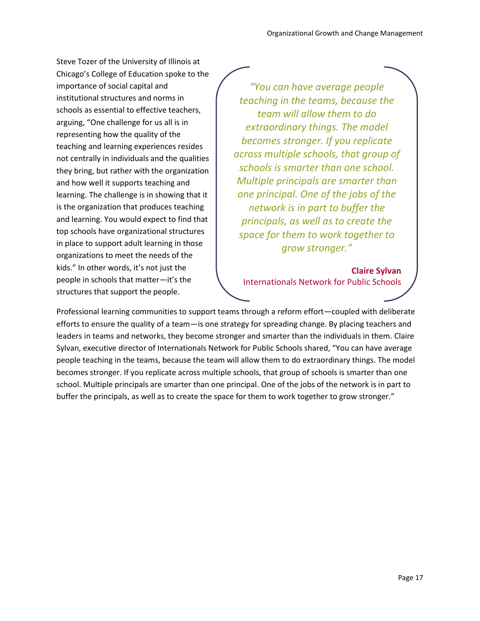Steve Tozer of the University of Illinois at Chicago's College of Education spoke to the importance of social capital and institutional structures and norms in schools as essential to effective teachers, arguing, "One challenge for us all is in representing how the quality of the teaching and learning experiences resides not centrally in individuals and the qualities they bring, but rather with the organization and how well it supports teaching and learning. The challenge is in showing that it is the organization that produces teaching and learning. You would expect to find that top schools have organizational structures in place to support adult learning in those organizations to meet the needs of the kids." In other words, it's not just the people in schools that matter—it's the structures that support the people.

*"You can have average people teaching in the teams, because the team will allow them to do extraordinary things. The model becomes stronger. If you replicate across multiple schools, that group of schools is smarter than one school. Multiple principals are smarter than one principal. One of the jobs of the network is in part to buffer the principals, as well as to create the space for them to work together to grow stronger."*

**Claire Sylvan** Internationals Network for Public Schools

Professional learning communities to support teams through a reform effort—coupled with deliberate efforts to ensure the quality of a team—is one strategy for spreading change. By placing teachers and leaders in teams and networks, they become stronger and smarter than the individuals in them. Claire Sylvan, executive director of Internationals Network for Public Schools shared, "You can have average people teaching in the teams, because the team will allow them to do extraordinary things. The model becomes stronger. If you replicate across multiple schools, that group of schools is smarter than one school. Multiple principals are smarter than one principal. One of the jobs of the network is in part to buffer the principals, as well as to create the space for them to work together to grow stronger."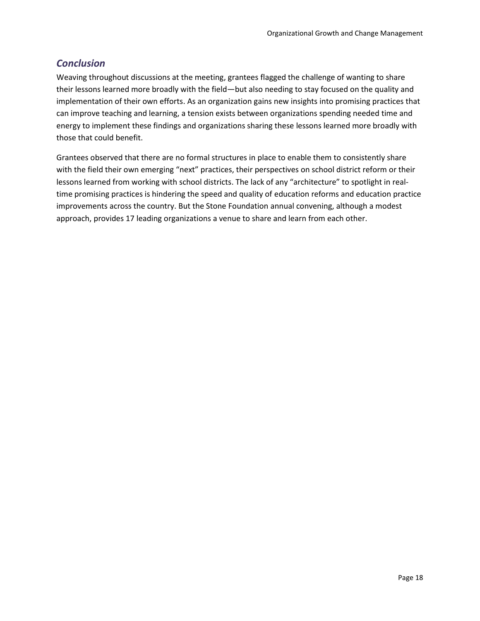# <span id="page-17-0"></span>*Conclusion*

Weaving throughout discussions at the meeting, grantees flagged the challenge of wanting to share their lessons learned more broadly with the field—but also needing to stay focused on the quality and implementation of their own efforts. As an organization gains new insights into promising practices that can improve teaching and learning, a tension exists between organizations spending needed time and energy to implement these findings and organizations sharing these lessons learned more broadly with those that could benefit.

Grantees observed that there are no formal structures in place to enable them to consistently share with the field their own emerging "next" practices, their perspectives on school district reform or their lessons learned from working with school districts. The lack of any "architecture" to spotlight in realtime promising practices is hindering the speed and quality of education reforms and education practice improvements across the country. But the Stone Foundation annual convening, although a modest approach, provides 17 leading organizations a venue to share and learn from each other.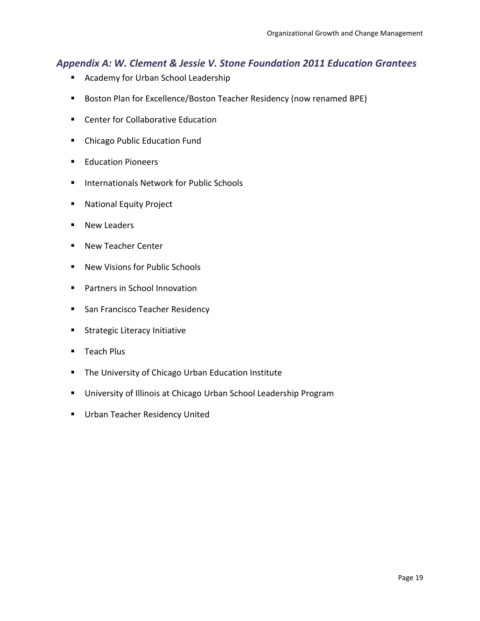# <span id="page-18-0"></span>*Appendix A: W. Clement & Jessie V. Stone Foundation 2011 Education Grantees*

- Academy for Urban School Leadership
- **Boston Plan for Excellence/Boston Teacher Residency (now renamed BPE)**
- Center for Collaborative Education
- **EXECUTE:** Chicago Public Education Fund
- **Education Pioneers**
- **Internationals Network for Public Schools**
- **National Equity Project**
- New Leaders
- New Teacher Center
- New Visions for Public Schools
- **Partners in School Innovation**
- **San Francisco Teacher Residency**
- **Strategic Literacy Initiative**
- **Teach Plus**
- **The University of Chicago Urban Education Institute**
- **University of Illinois at Chicago Urban School Leadership Program**
- **Urban Teacher Residency United**